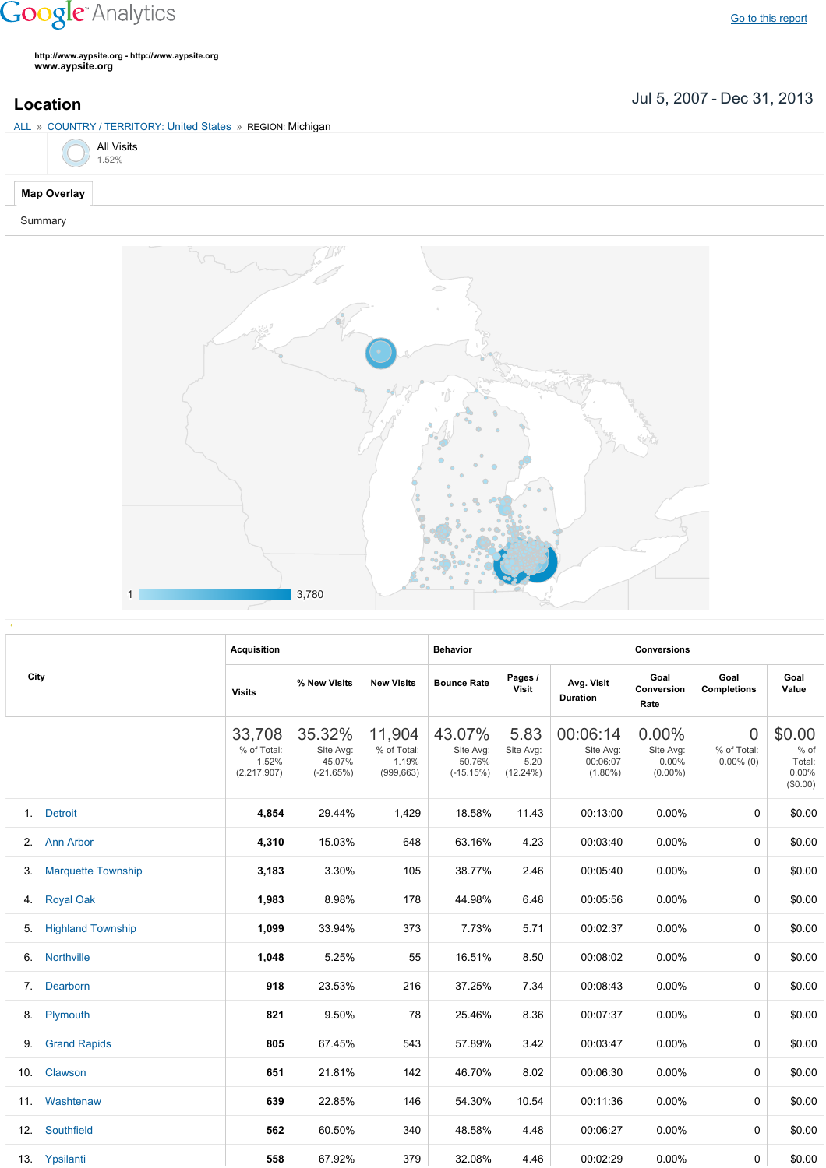## **Google** Analytics

**http://www.aypsite.org http://www.aypsite.org www.aypsite.org**

Jul 5, 2007 Dec 31, 2013 **Location**

## ALL » COUNTRY / TERRITORY: United States » REGION: Michigan

| ALL // COUNTINT/TENNITONT. UTIICQ ORICS // INLOIDIN. INICHIGAT |  |
|----------------------------------------------------------------|--|
| All Visits<br>/ $_{1.52\%}$                                    |  |
| <b>Map Overlay</b>                                             |  |

Summary



|                |                           | <b>Acquisition</b>                              |                                              |                                              | <b>Behavior</b>                              |                                       |                                                 | <b>Conversions</b>                        |                                               |                                                    |
|----------------|---------------------------|-------------------------------------------------|----------------------------------------------|----------------------------------------------|----------------------------------------------|---------------------------------------|-------------------------------------------------|-------------------------------------------|-----------------------------------------------|----------------------------------------------------|
|                |                           |                                                 |                                              |                                              |                                              |                                       |                                                 |                                           |                                               |                                                    |
| City           |                           | <b>Visits</b>                                   | % New Visits                                 | <b>New Visits</b>                            | <b>Bounce Rate</b>                           | Pages /<br>Visit                      | Avg. Visit<br><b>Duration</b>                   | Goal<br>Conversion<br>Rate                | Goal<br><b>Completions</b>                    | Goal<br>Value                                      |
|                |                           | 33,708<br>% of Total:<br>1.52%<br>(2, 217, 907) | 35.32%<br>Site Avg:<br>45.07%<br>$(-21.65%)$ | 11,904<br>% of Total:<br>1.19%<br>(999, 663) | 43.07%<br>Site Avg:<br>50.76%<br>$(-15.15%)$ | 5.83<br>Site Avg:<br>5.20<br>(12.24%) | 00:06:14<br>Site Avg:<br>00:06:07<br>$(1.80\%)$ | 0.00%<br>Site Avg:<br>0.00%<br>$(0.00\%)$ | $\overline{0}$<br>% of Total:<br>$0.00\%$ (0) | \$0.00<br>$%$ of<br>Total:<br>$0.00\%$<br>(\$0.00) |
|                | 1. Detroit                | 4,854                                           | 29.44%                                       | 1,429                                        | 18.58%                                       | 11.43                                 | 00:13:00                                        | 0.00%                                     | 0                                             | \$0.00                                             |
| 2.             | <b>Ann Arbor</b>          | 4,310                                           | 15.03%                                       | 648                                          | 63.16%                                       | 4.23                                  | 00:03:40                                        | 0.00%                                     | 0                                             | \$0.00                                             |
| 3.             | <b>Marquette Township</b> | 3,183                                           | 3.30%                                        | 105                                          | 38.77%                                       | 2.46                                  | 00:05:40                                        | 0.00%                                     | 0                                             | \$0.00                                             |
| 4.             | <b>Royal Oak</b>          | 1,983                                           | 8.98%                                        | 178                                          | 44.98%                                       | 6.48                                  | 00:05:56                                        | 0.00%                                     | $\Omega$                                      | \$0.00                                             |
| 5.             | <b>Highland Township</b>  | 1,099                                           | 33.94%                                       | 373                                          | 7.73%                                        | 5.71                                  | 00:02:37                                        | 0.00%                                     | $\Omega$                                      | \$0.00                                             |
| 6.             | Northville                | 1,048                                           | 5.25%                                        | 55                                           | 16.51%                                       | 8.50                                  | 00:08:02                                        | 0.00%                                     | 0                                             | \$0.00                                             |
| 7 <sub>1</sub> | Dearborn                  | 918                                             | 23.53%                                       | 216                                          | 37.25%                                       | 7.34                                  | 00:08:43                                        | 0.00%                                     | 0                                             | \$0.00                                             |
| 8.             | Plymouth                  | 821                                             | 9.50%                                        | 78                                           | 25.46%                                       | 8.36                                  | 00:07:37                                        | $0.00\%$                                  | 0                                             | \$0.00                                             |
| 9.             | <b>Grand Rapids</b>       | 805                                             | 67.45%                                       | 543                                          | 57.89%                                       | 3.42                                  | 00:03:47                                        | 0.00%                                     | 0                                             | \$0.00                                             |
| 10.            | Clawson                   | 651                                             | 21.81%                                       | 142                                          | 46.70%                                       | 8.02                                  | 00:06:30                                        | 0.00%                                     | $\Omega$                                      | \$0.00                                             |
| 11.            | Washtenaw                 | 639                                             | 22.85%                                       | 146                                          | 54.30%                                       | 10.54                                 | 00:11:36                                        | 0.00%                                     | $\Omega$                                      | \$0.00                                             |
| 12.            | Southfield                | 562                                             | 60.50%                                       | 340                                          | 48.58%                                       | 4.48                                  | 00:06:27                                        | 0.00%                                     | $\Omega$                                      | \$0.00                                             |
|                | 13. Ypsilanti             | 558                                             | 67.92%                                       | 379                                          | 32.08%                                       | 4.46                                  | 00:02:29                                        | 0.00%                                     | 0                                             | \$0.00                                             |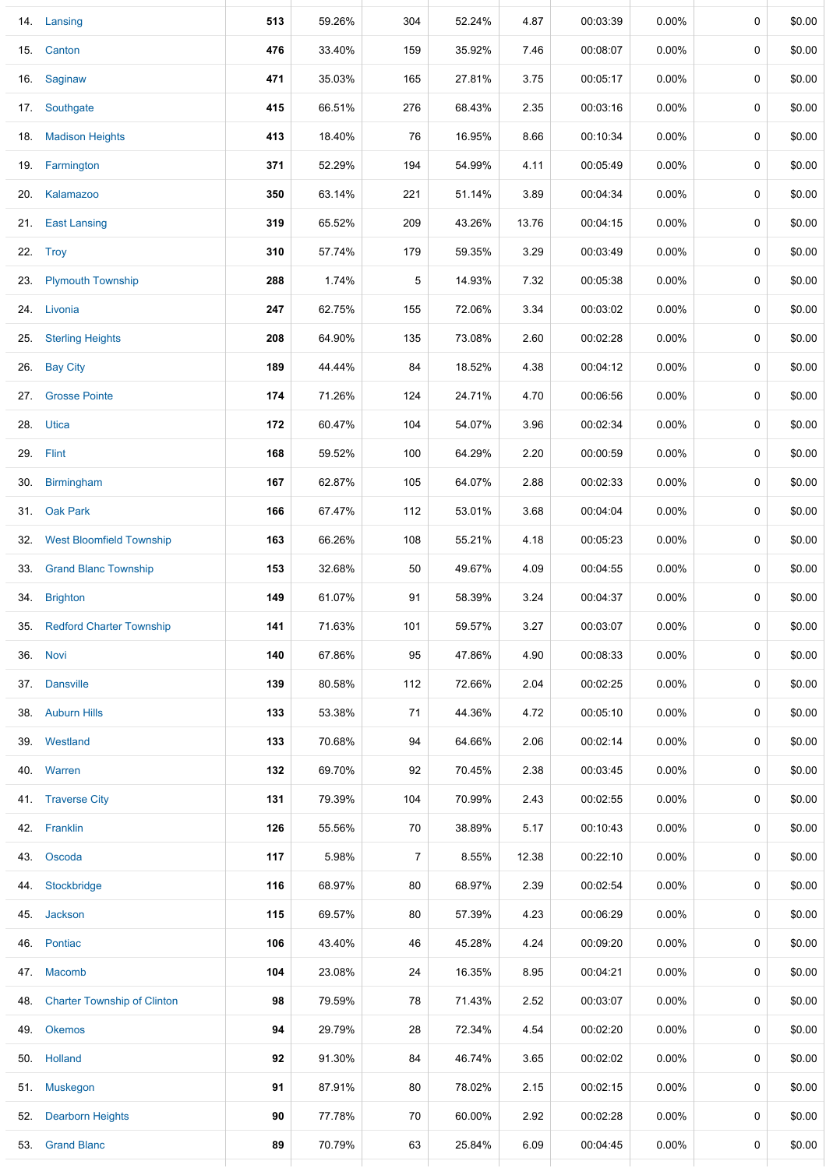|     | 14. Lansing                        | 513 | 59.26% | 304            | 52.24% | 4.87  | 00:03:39 | 0.00%    | 0           | \$0.00 |
|-----|------------------------------------|-----|--------|----------------|--------|-------|----------|----------|-------------|--------|
| 15. | Canton                             | 476 | 33.40% | 159            | 35.92% | 7.46  | 00:08:07 | 0.00%    | $\mathbf 0$ | \$0.00 |
| 16. | Saginaw                            | 471 | 35.03% | 165            | 27.81% | 3.75  | 00:05:17 | $0.00\%$ | $\mathbf 0$ | \$0.00 |
| 17. | Southgate                          | 415 | 66.51% | 276            | 68.43% | 2.35  | 00:03:16 | 0.00%    | 0           | \$0.00 |
|     | 18. Madison Heights                | 413 | 18.40% | 76             | 16.95% | 8.66  | 00:10:34 | 0.00%    | $\mathbf 0$ | \$0.00 |
| 19. | Farmington                         | 371 | 52.29% | 194            | 54.99% | 4.11  | 00:05:49 | $0.00\%$ | 0           | \$0.00 |
| 20. | Kalamazoo                          | 350 | 63.14% | 221            | 51.14% | 3.89  | 00:04:34 | $0.00\%$ | 0           | \$0.00 |
| 21. | <b>East Lansing</b>                | 319 | 65.52% | 209            | 43.26% | 13.76 | 00:04:15 | 0.00%    | 0           | \$0.00 |
|     | 22. Troy                           | 310 | 57.74% | 179            | 59.35% | 3.29  | 00:03:49 | $0.00\%$ | 0           | \$0.00 |
|     | 23. Plymouth Township              | 288 | 1.74%  | $\sqrt{5}$     | 14.93% | 7.32  | 00:05:38 | $0.00\%$ | 0           | \$0.00 |
|     | 24. Livonia                        | 247 | 62.75% | 155            | 72.06% | 3.34  | 00:03:02 | $0.00\%$ | 0           | \$0.00 |
| 25. | <b>Sterling Heights</b>            | 208 | 64.90% | 135            | 73.08% | 2.60  | 00:02:28 | 0.00%    | 0           | \$0.00 |
| 26. | <b>Bay City</b>                    | 189 | 44.44% | 84             | 18.52% | 4.38  | 00:04:12 | 0.00%    | 0           | \$0.00 |
| 27. | <b>Grosse Pointe</b>               | 174 | 71.26% | 124            | 24.71% | 4.70  | 00:06:56 | 0.00%    | $\mathbf 0$ | \$0.00 |
| 28. | <b>Utica</b>                       | 172 | 60.47% | 104            | 54.07% | 3.96  | 00:02:34 | 0.00%    | 0           | \$0.00 |
|     | 29. Flint                          | 168 | 59.52% | 100            | 64.29% | 2.20  | 00:00:59 | $0.00\%$ | $\mathbf 0$ | \$0.00 |
| 30. | Birmingham                         | 167 | 62.87% | 105            | 64.07% | 2.88  | 00:02:33 | 0.00%    | 0           | \$0.00 |
|     | 31. Oak Park                       | 166 | 67.47% | 112            | 53.01% | 3.68  | 00:04:04 | 0.00%    | 0           | \$0.00 |
|     | 32. West Bloomfield Township       | 163 | 66.26% | 108            | 55.21% | 4.18  | 00:05:23 | 0.00%    | 0           | \$0.00 |
|     | 33. Grand Blanc Township           | 153 | 32.68% | 50             | 49.67% | 4.09  | 00:04:55 | $0.00\%$ | 0           | \$0.00 |
| 34. | <b>Brighton</b>                    | 149 | 61.07% | 91             | 58.39% | 3.24  | 00:04:37 | $0.00\%$ | $\mathbf 0$ | \$0.00 |
| 35. | <b>Redford Charter Township</b>    | 141 | 71.63% | 101            | 59.57% | 3.27  | 00:03:07 | $0.00\%$ | 0           | \$0.00 |
| 36. | Novi                               | 140 | 67.86% | 95             | 47.86% | 4.90  | 00:08:33 | $0.00\%$ | 0           | \$0.00 |
| 37. | <b>Dansville</b>                   | 139 | 80.58% | 112            | 72.66% | 2.04  | 00:02:25 | $0.00\%$ | 0           | \$0.00 |
|     | 38. Auburn Hills                   | 133 | 53.38% | 71             | 44.36% | 4.72  | 00:05:10 | $0.00\%$ | $\mathbf 0$ | \$0.00 |
|     | 39. Westland                       | 133 | 70.68% | 94             | 64.66% | 2.06  | 00:02:14 | 0.00%    | 0           | \$0.00 |
|     | 40. Warren                         | 132 | 69.70% | 92             | 70.45% | 2.38  | 00:03:45 | $0.00\%$ | $\mathbf 0$ | \$0.00 |
|     | 41. Traverse City                  | 131 | 79.39% | 104            | 70.99% | 2.43  | 00:02:55 | $0.00\%$ | 0           | \$0.00 |
|     | 42. Franklin                       | 126 | 55.56% | 70             | 38.89% | 5.17  | 00:10:43 | 0.00%    | $\mathbf 0$ | \$0.00 |
| 43. | Oscoda                             | 117 | 5.98%  | $\overline{7}$ | 8.55%  | 12.38 | 00:22:10 | 0.00%    | 0           | \$0.00 |
| 44. | Stockbridge                        | 116 | 68.97% | 80             | 68.97% | 2.39  | 00:02:54 | 0.00%    | 0           | \$0.00 |
| 45. | Jackson                            | 115 | 69.57% | 80             | 57.39% | 4.23  | 00:06:29 | 0.00%    | 0           | \$0.00 |
|     | 46. Pontiac                        | 106 | 43.40% | 46             | 45.28% | 4.24  | 00:09:20 | 0.00%    | 0           | \$0.00 |
|     | 47. Macomb                         | 104 | 23.08% | 24             | 16.35% | 8.95  | 00:04:21 | $0.00\%$ | 0           | \$0.00 |
| 48. | <b>Charter Township of Clinton</b> | 98  | 79.59% | 78             | 71.43% | 2.52  | 00:03:07 | 0.00%    | 0           | \$0.00 |
| 49. | <b>Okemos</b>                      | 94  | 29.79% | 28             | 72.34% | 4.54  | 00:02:20 | $0.00\%$ | 0           | \$0.00 |
|     | 50. Holland                        | 92  | 91.30% | 84             | 46.74% | 3.65  | 00:02:02 | $0.00\%$ | 0           | \$0.00 |
| 51. | Muskegon                           | 91  | 87.91% | 80             | 78.02% | 2.15  | 00:02:15 | $0.00\%$ | 0           | \$0.00 |
| 52. | <b>Dearborn Heights</b>            | 90  | 77.78% | 70             | 60.00% | 2.92  | 00:02:28 | $0.00\%$ | 0           | \$0.00 |
|     | 53. Grand Blanc                    | 89  | 70.79% | 63             | 25.84% | 6.09  | 00:04:45 | $0.00\%$ | 0           | \$0.00 |

⊥

Ц.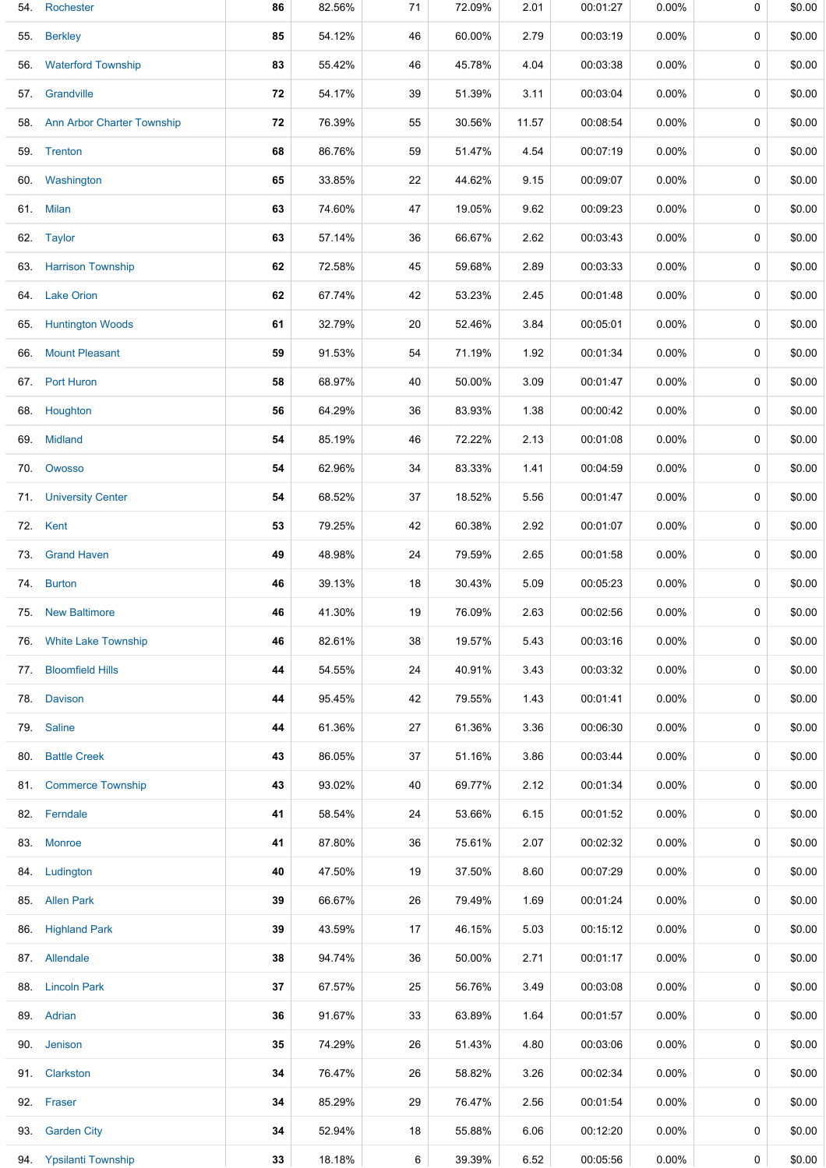| 54. | Rochester                      | 86 | 82.56% | 71 | 72.09% | 2.01  | 00:01:27 | 0.00%    | 0 | \$0.00 |
|-----|--------------------------------|----|--------|----|--------|-------|----------|----------|---|--------|
| 55. | <b>Berkley</b>                 | 85 | 54.12% | 46 | 60.00% | 2.79  | 00:03:19 | $0.00\%$ | 0 | \$0.00 |
|     | 56. Waterford Township         | 83 | 55.42% | 46 | 45.78% | 4.04  | 00:03:38 | $0.00\%$ | 0 | \$0.00 |
|     | 57. Grandville                 | 72 | 54.17% | 39 | 51.39% | 3.11  | 00:03:04 | $0.00\%$ | 0 | \$0.00 |
|     | 58. Ann Arbor Charter Township | 72 | 76.39% | 55 | 30.56% | 11.57 | 00:08:54 | $0.00\%$ | 0 | \$0.00 |
|     | 59. Trenton                    | 68 | 86.76% | 59 | 51.47% | 4.54  | 00:07:19 | $0.00\%$ | 0 | \$0.00 |
|     | 60. Washington                 | 65 | 33.85% | 22 | 44.62% | 9.15  | 00:09:07 | $0.00\%$ | 0 | \$0.00 |
|     | 61. Milan                      | 63 | 74.60% | 47 | 19.05% | 9.62  | 00:09:23 | $0.00\%$ | 0 | \$0.00 |
|     | 62. Taylor                     | 63 | 57.14% | 36 | 66.67% | 2.62  | 00:03:43 | $0.00\%$ | 0 | \$0.00 |
|     | 63. Harrison Township          | 62 | 72.58% | 45 | 59.68% | 2.89  | 00:03:33 | 0.00%    | 0 | \$0.00 |
|     | 64. Lake Orion                 | 62 | 67.74% | 42 | 53.23% | 2.45  | 00:01:48 | $0.00\%$ | 0 | \$0.00 |
| 65. | <b>Huntington Woods</b>        | 61 | 32.79% | 20 | 52.46% | 3.84  | 00:05:01 | 0.00%    | 0 | \$0.00 |
|     | 66. Mount Pleasant             | 59 | 91.53% | 54 | 71.19% | 1.92  | 00:01:34 | $0.00\%$ | 0 | \$0.00 |
|     | 67. Port Huron                 | 58 | 68.97% | 40 | 50.00% | 3.09  | 00:01:47 | $0.00\%$ | 0 | \$0.00 |
|     | 68. Houghton                   | 56 | 64.29% | 36 | 83.93% | 1.38  | 00:00:42 | $0.00\%$ | 0 | \$0.00 |
|     | 69. Midland                    | 54 | 85.19% | 46 | 72.22% | 2.13  | 00:01:08 | $0.00\%$ | 0 | \$0.00 |
| 70. | Owosso                         | 54 | 62.96% | 34 | 83.33% | 1.41  | 00:04:59 | $0.00\%$ | 0 | \$0.00 |
| 71. | <b>University Center</b>       | 54 | 68.52% | 37 | 18.52% | 5.56  | 00:01:47 | $0.00\%$ | 0 | \$0.00 |
|     | 72. Kent                       | 53 | 79.25% | 42 | 60.38% | 2.92  | 00:01:07 | $0.00\%$ | 0 | \$0.00 |
| 73. | <b>Grand Haven</b>             | 49 | 48.98% | 24 | 79.59% | 2.65  | 00:01:58 | $0.00\%$ | 0 | \$0.00 |
| 74. | <b>Burton</b>                  | 46 | 39.13% | 18 | 30.43% | 5.09  | 00:05:23 | $0.00\%$ | 0 | \$0.00 |
|     | 75. New Baltimore              | 46 | 41.30% | 19 | 76.09% | 2.63  | 00:02:56 | $0.00\%$ | 0 | \$0.00 |
|     | 76. White Lake Township        | 46 | 82.61% | 38 | 19.57% | 5.43  | 00:03:16 | $0.00\%$ | 0 | \$0.00 |
|     | 77. Bloomfield Hills           | 44 | 54.55% | 24 | 40.91% | 3.43  | 00:03:32 | $0.00\%$ | 0 | \$0.00 |
| 78. | Davison                        | 44 | 95.45% | 42 | 79.55% | 1.43  | 00:01:41 | $0.00\%$ | 0 | \$0.00 |
|     | 79. Saline                     | 44 | 61.36% | 27 | 61.36% | 3.36  | 00:06:30 | $0.00\%$ | 0 | \$0.00 |
|     | 80. Battle Creek               | 43 | 86.05% | 37 | 51.16% | 3.86  | 00:03:44 | $0.00\%$ | 0 | \$0.00 |
|     | 81. Commerce Township          | 43 | 93.02% | 40 | 69.77% | 2.12  | 00:01:34 | $0.00\%$ | 0 | \$0.00 |
|     | 82. Ferndale                   | 41 | 58.54% | 24 | 53.66% | 6.15  | 00:01:52 | $0.00\%$ | 0 | \$0.00 |
|     | 83. Monroe                     | 41 | 87.80% | 36 | 75.61% | 2.07  | 00:02:32 | $0.00\%$ | 0 | \$0.00 |
|     | 84. Ludington                  | 40 | 47.50% | 19 | 37.50% | 8.60  | 00:07:29 | $0.00\%$ | 0 | \$0.00 |
|     | 85. Allen Park                 | 39 | 66.67% | 26 | 79.49% | 1.69  | 00:01:24 | $0.00\%$ | 0 | \$0.00 |
|     | 86. Highland Park              | 39 | 43.59% | 17 | 46.15% | 5.03  | 00:15:12 | $0.00\%$ | 0 | \$0.00 |
|     | 87. Allendale                  | 38 | 94.74% | 36 | 50.00% | 2.71  | 00:01:17 | $0.00\%$ | 0 | \$0.00 |
|     | 88. Lincoln Park               | 37 | 67.57% | 25 | 56.76% | 3.49  | 00:03:08 | $0.00\%$ | 0 | \$0.00 |
|     | 89. Adrian                     | 36 | 91.67% | 33 | 63.89% | 1.64  | 00:01:57 | $0.00\%$ | 0 | \$0.00 |
|     | 90. Jenison                    | 35 | 74.29% | 26 | 51.43% | 4.80  | 00:03:06 | $0.00\%$ | 0 | \$0.00 |
|     | 91. Clarkston                  | 34 | 76.47% | 26 | 58.82% | 3.26  | 00:02:34 | $0.00\%$ | 0 | \$0.00 |
|     | 92. Fraser                     | 34 | 85.29% | 29 | 76.47% | 2.56  | 00:01:54 | $0.00\%$ | 0 | \$0.00 |
|     | 93. Garden City                | 34 | 52.94% | 18 | 55.88% | 6.06  | 00:12:20 | $0.00\%$ | 0 | \$0.00 |
|     | 94. Ypsilanti Township         | 33 | 18.18% | 6  | 39.39% | 6.52  | 00:05:56 | $0.00\%$ | 0 | \$0.00 |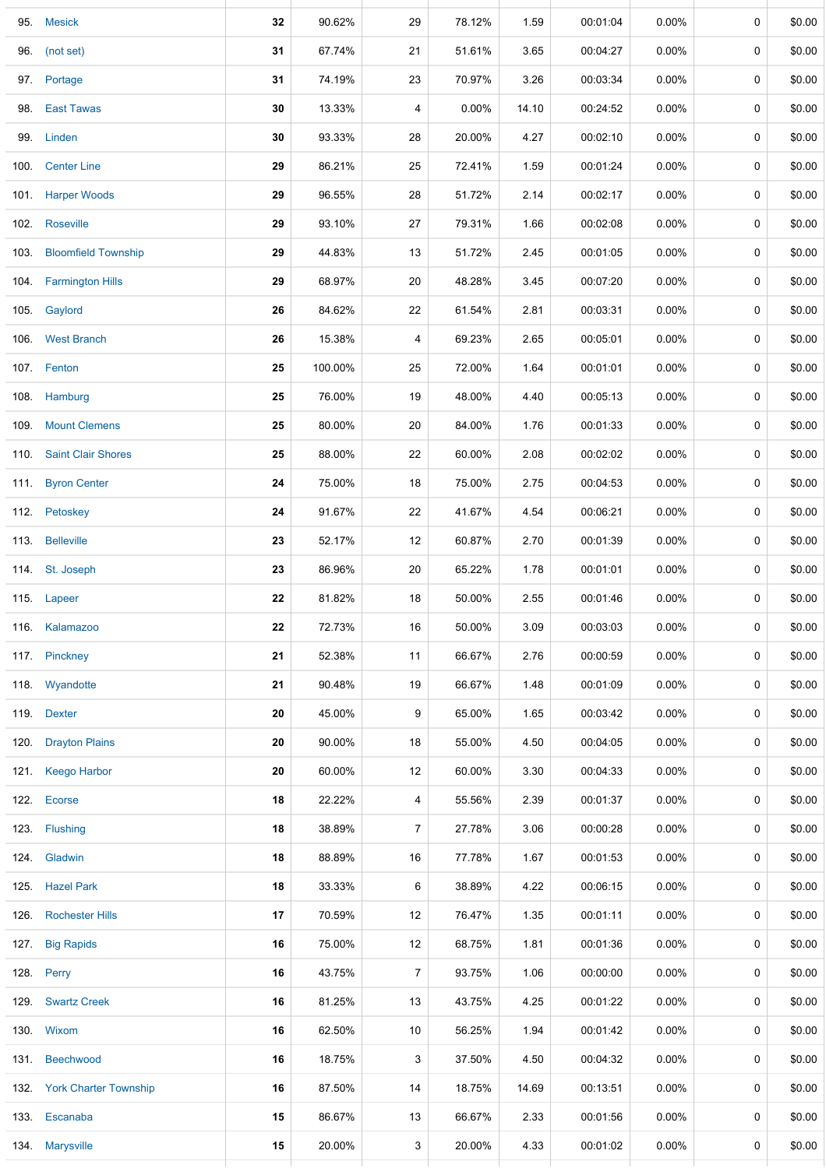| 95.  | <b>Mesick</b>              | 32 | 90.62%  | 29             | 78.12% | 1.59  | 00:01:04 | 0.00%    | 0           | \$0.00 |
|------|----------------------------|----|---------|----------------|--------|-------|----------|----------|-------------|--------|
| 96.  | (not set)                  | 31 | 67.74%  | 21             | 51.61% | 3.65  | 00:04:27 | $0.00\%$ | 0           | \$0.00 |
|      | 97. Portage                | 31 | 74.19%  | 23             | 70.97% | 3.26  | 00:03:34 | $0.00\%$ | 0           | \$0.00 |
| 98.  | <b>East Tawas</b>          | 30 | 13.33%  | 4              | 0.00%  | 14.10 | 00:24:52 | $0.00\%$ | 0           | \$0.00 |
|      | 99. Linden                 | 30 | 93.33%  | 28             | 20.00% | 4.27  | 00:02:10 | $0.00\%$ | 0           | \$0.00 |
| 100. | <b>Center Line</b>         | 29 | 86.21%  | 25             | 72.41% | 1.59  | 00:01:24 | $0.00\%$ | 0           | \$0.00 |
|      | 101. Harper Woods          | 29 | 96.55%  | 28             | 51.72% | 2.14  | 00:02:17 | $0.00\%$ | 0           | \$0.00 |
|      | 102. Roseville             | 29 | 93.10%  | 27             | 79.31% | 1.66  | 00:02:08 | 0.00%    | 0           | \$0.00 |
| 103. | <b>Bloomfield Township</b> | 29 | 44.83%  | 13             | 51.72% | 2.45  | 00:01:05 | $0.00\%$ | 0           | \$0.00 |
|      | 104. Farmington Hills      | 29 | 68.97%  | 20             | 48.28% | 3.45  | 00:07:20 | 0.00%    | 0           | \$0.00 |
|      | 105. Gaylord               | 26 | 84.62%  | 22             | 61.54% | 2.81  | 00:03:31 | $0.00\%$ | 0           | \$0.00 |
|      | 106. West Branch           | 26 | 15.38%  | 4              | 69.23% | 2.65  | 00:05:01 | $0.00\%$ | 0           | \$0.00 |
|      | 107. Fenton                | 25 | 100.00% | 25             | 72.00% | 1.64  | 00:01:01 | $0.00\%$ | 0           | \$0.00 |
|      | 108. Hamburg               | 25 | 76.00%  | 19             | 48.00% | 4.40  | 00:05:13 | 0.00%    | 0           | \$0.00 |
|      | 109. Mount Clemens         | 25 | 80.00%  | 20             | 84.00% | 1.76  | 00:01:33 | $0.00\%$ | 0           | \$0.00 |
|      | 110. Saint Clair Shores    | 25 | 88.00%  | 22             | 60.00% | 2.08  | 00:02:02 | $0.00\%$ | 0           | \$0.00 |
|      | 111. Byron Center          | 24 | 75.00%  | 18             | 75.00% | 2.75  | 00:04:53 | $0.00\%$ | 0           | \$0.00 |
|      | 112. Petoskey              | 24 | 91.67%  | 22             | 41.67% | 4.54  | 00:06:21 | $0.00\%$ | 0           | \$0.00 |
|      | 113. Belleville            | 23 | 52.17%  | 12             | 60.87% | 2.70  | 00:01:39 | $0.00\%$ | 0           | \$0.00 |
|      | 114. St. Joseph            | 23 | 86.96%  | 20             | 65.22% | 1.78  | 00:01:01 | $0.00\%$ | 0           | \$0.00 |
|      | 115. Lapeer                | 22 | 81.82%  | 18             | 50.00% | 2.55  | 00:01:46 | $0.00\%$ | 0           | \$0.00 |
|      | 116. Kalamazoo             | 22 | 72.73%  | 16             | 50.00% | 3.09  | 00:03:03 | $0.00\%$ | 0           | \$0.00 |
|      | 117. Pinckney              | 21 | 52.38%  | 11             | 66.67% | 2.76  | 00:00:59 | $0.00\%$ | $\mathbf 0$ | \$0.00 |
|      | 118. Wyandotte             | 21 | 90.48%  | 19             | 66.67% | 1.48  | 00:01:09 | $0.00\%$ | 0           | \$0.00 |
|      | 119. Dexter                | 20 | 45.00%  | 9              | 65.00% | 1.65  | 00:03:42 | $0.00\%$ | 0           | \$0.00 |
|      | 120. Drayton Plains        | 20 | 90.00%  | 18             | 55.00% | 4.50  | 00:04:05 | $0.00\%$ | 0           | \$0.00 |
|      | 121. Keego Harbor          | 20 | 60.00%  | 12             | 60.00% | 3.30  | 00:04:33 | $0.00\%$ | 0           | \$0.00 |
|      | 122. Ecorse                | 18 | 22.22%  | 4              | 55.56% | 2.39  | 00:01:37 | $0.00\%$ | 0           | \$0.00 |
|      | 123. Flushing              | 18 | 38.89%  | $\overline{7}$ | 27.78% | 3.06  | 00:00:28 | $0.00\%$ | 0           | \$0.00 |
|      | 124. Gladwin               | 18 | 88.89%  | 16             | 77.78% | 1.67  | 00:01:53 | $0.00\%$ | 0           | \$0.00 |
|      | 125. Hazel Park            | 18 | 33.33%  | 6              | 38.89% | 4.22  | 00:06:15 | $0.00\%$ | 0           | \$0.00 |
|      | 126. Rochester Hills       | 17 | 70.59%  | 12             | 76.47% | 1.35  | 00:01:11 | $0.00\%$ | 0           | \$0.00 |
| 127. | <b>Big Rapids</b>          | 16 | 75.00%  | 12             | 68.75% | 1.81  | 00:01:36 | $0.00\%$ | 0           | \$0.00 |
|      | 128. Perry                 | 16 | 43.75%  | $\overline{7}$ | 93.75% | 1.06  | 00:00:00 | $0.00\%$ | 0           | \$0.00 |
|      | 129. Swartz Creek          | 16 | 81.25%  | 13             | 43.75% | 4.25  | 00:01:22 | $0.00\%$ | 0           | \$0.00 |
|      | 130. Wixom                 | 16 | 62.50%  | 10             | 56.25% | 1.94  | 00:01:42 | 0.00%    | 0           | \$0.00 |
|      | 131. Beechwood             | 16 | 18.75%  | 3              | 37.50% | 4.50  | 00:04:32 | $0.00\%$ | 0           | \$0.00 |
|      | 132. York Charter Township | 16 | 87.50%  | 14             | 18.75% | 14.69 | 00:13:51 | $0.00\%$ | 0           | \$0.00 |
|      | 133. Escanaba              | 15 | 86.67%  | 13             | 66.67% | 2.33  | 00:01:56 | $0.00\%$ | 0           | \$0.00 |
|      | 134. Marysville            | 15 | 20.00%  | 3              | 20.00% | 4.33  | 00:01:02 | $0.00\%$ | 0           | \$0.00 |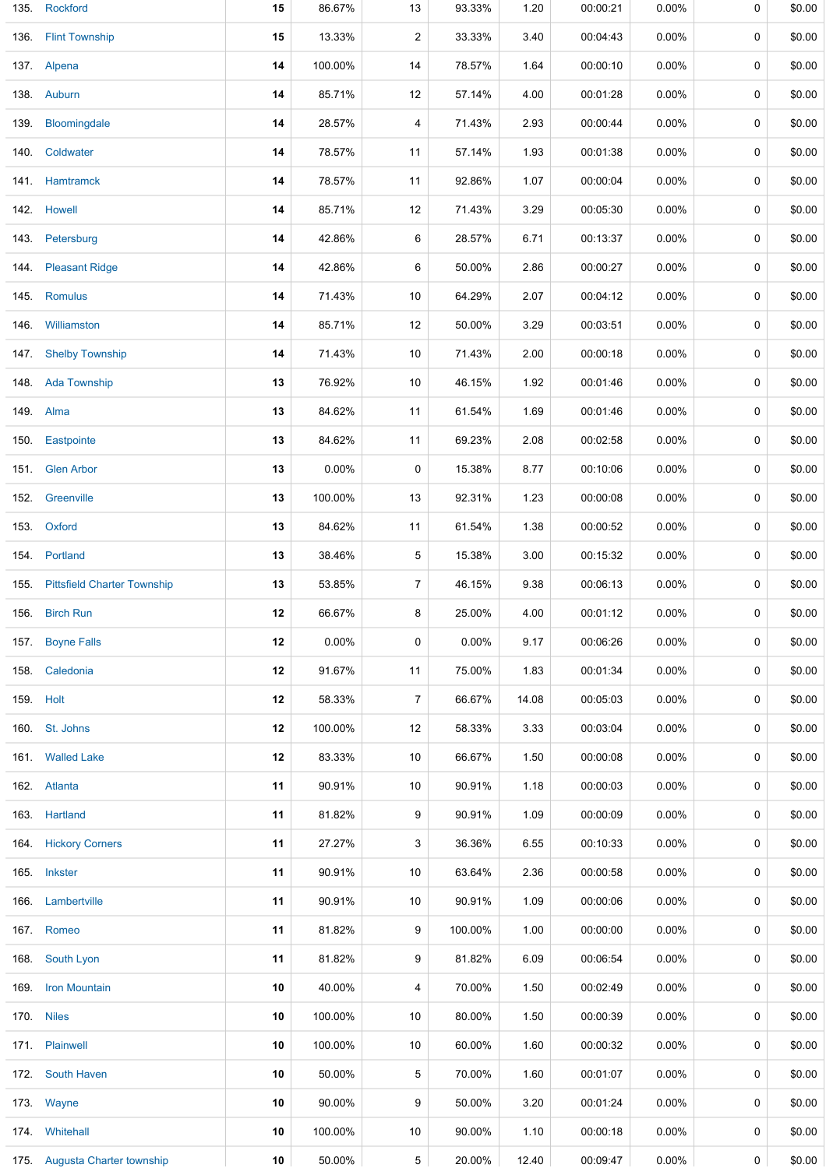| 135.      | Rockford                           | 15 | 86.67%  | 13             | 93.33%   | 1.20  | 00:00:21 | $0.00\%$ | 0           | \$0.00 |
|-----------|------------------------------------|----|---------|----------------|----------|-------|----------|----------|-------------|--------|
|           | 136. Flint Township                | 15 | 13.33%  | $\overline{2}$ | 33.33%   | 3.40  | 00:04:43 | $0.00\%$ | 0           | \$0.00 |
|           | 137. Alpena                        | 14 | 100.00% | 14             | 78.57%   | 1.64  | 00:00:10 | $0.00\%$ | 0           | \$0.00 |
|           | 138. Auburn                        | 14 | 85.71%  | 12             | 57.14%   | 4.00  | 00:01:28 | $0.00\%$ | 0           | \$0.00 |
|           | 139. Bloomingdale                  | 14 | 28.57%  | 4              | 71.43%   | 2.93  | 00:00:44 | $0.00\%$ | 0           | \$0.00 |
|           | 140. Coldwater                     | 14 | 78.57%  | 11             | 57.14%   | 1.93  | 00:01:38 | $0.00\%$ | 0           | \$0.00 |
|           | 141 Hamtramck                      | 14 | 78.57%  | 11             | 92.86%   | 1.07  | 00:00:04 | $0.00\%$ | 0           | \$0.00 |
|           | 142. Howell                        | 14 | 85.71%  | 12             | 71.43%   | 3.29  | 00:05:30 | $0.00\%$ | 0           | \$0.00 |
|           | 143. Petersburg                    | 14 | 42.86%  | 6              | 28.57%   | 6.71  | 00:13:37 | $0.00\%$ | 0           | \$0.00 |
|           | 144. Pleasant Ridge                | 14 | 42.86%  | 6              | 50.00%   | 2.86  | 00:00:27 | $0.00\%$ | 0           | \$0.00 |
|           | 145. Romulus                       | 14 | 71.43%  | 10             | 64.29%   | 2.07  | 00:04:12 | $0.00\%$ | 0           | \$0.00 |
| 146.      | Williamston                        | 14 | 85.71%  | 12             | 50.00%   | 3.29  | 00:03:51 | $0.00\%$ | $\mathbf 0$ | \$0.00 |
| 147.      | <b>Shelby Township</b>             | 14 | 71.43%  | 10             | 71.43%   | 2.00  | 00:00:18 | $0.00\%$ | 0           | \$0.00 |
|           | 148 Ada Township                   | 13 | 76.92%  | 10             | 46.15%   | 1.92  | 00:01:46 | $0.00\%$ | $\mathbf 0$ | \$0.00 |
|           | 149. Alma                          | 13 | 84.62%  | 11             | 61.54%   | 1.69  | 00:01:46 | $0.00\%$ | 0           | \$0.00 |
|           | 150. Eastpointe                    | 13 | 84.62%  | 11             | 69.23%   | 2.08  | 00:02:58 | $0.00\%$ | 0           | \$0.00 |
|           | 151. Glen Arbor                    | 13 | 0.00%   | 0              | 15.38%   | 8.77  | 00:10:06 | $0.00\%$ | 0           | \$0.00 |
|           | 152. Greenville                    | 13 | 100.00% | 13             | 92.31%   | 1.23  | 00:00:08 | $0.00\%$ | 0           | \$0.00 |
|           | 153. Oxford                        | 13 | 84.62%  | 11             | 61.54%   | 1.38  | 00:00:52 | $0.00\%$ | 0           | \$0.00 |
|           | 154. Portland                      | 13 | 38.46%  | 5              | 15.38%   | 3.00  | 00:15:32 | $0.00\%$ | 0           | \$0.00 |
| 155.      | <b>Pittsfield Charter Township</b> | 13 | 53.85%  | $\overline{7}$ | 46.15%   | 9.38  | 00:06:13 | $0.00\%$ | 0           | \$0.00 |
|           | 156. Birch Run                     | 12 | 66.67%  | 8              | 25.00%   | 4.00  | 00:01:12 | $0.00\%$ | 0           | \$0.00 |
|           | 157. Boyne Falls                   | 12 | 0.00%   | 0              | $0.00\%$ | 9.17  | 00:06:26 | $0.00\%$ | 0           | \$0.00 |
|           | 158. Caledonia                     | 12 | 91.67%  | 11             | 75.00%   | 1.83  | 00:01:34 | 0.00%    | 0           | \$0.00 |
| 159. Holt |                                    | 12 | 58.33%  | 7              | 66.67%   | 14.08 | 00:05:03 | $0.00\%$ | 0           | \$0.00 |
|           | 160. St. Johns                     | 12 | 100.00% | 12             | 58.33%   | 3.33  | 00:03:04 | $0.00\%$ | 0           | \$0.00 |
|           | 161 Walled Lake                    | 12 | 83.33%  | 10             | 66.67%   | 1.50  | 00:00:08 | $0.00\%$ | 0           | \$0.00 |
|           | 162. Atlanta                       | 11 | 90.91%  | 10             | 90.91%   | 1.18  | 00:00:03 | $0.00\%$ | 0           | \$0.00 |
|           | 163. Hartland                      | 11 | 81.82%  | 9              | 90.91%   | 1.09  | 00:00:09 | $0.00\%$ | 0           | \$0.00 |
|           | 164. Hickory Corners               | 11 | 27.27%  | 3              | 36.36%   | 6.55  | 00:10:33 | $0.00\%$ | 0           | \$0.00 |
|           | 165. Inkster                       | 11 | 90.91%  | 10             | 63.64%   | 2.36  | 00:00:58 | $0.00\%$ | 0           | \$0.00 |
|           | 166 Lambertville                   | 11 | 90.91%  | 10             | 90.91%   | 1.09  | 00:00:06 | $0.00\%$ | 0           | \$0.00 |
|           | 167. Romeo                         | 11 | 81.82%  | 9              | 100.00%  | 1.00  | 00:00:00 | $0.00\%$ | 0           | \$0.00 |
|           | 168. South Lyon                    | 11 | 81.82%  | 9              | 81.82%   | 6.09  | 00:06:54 | $0.00\%$ | 0           | \$0.00 |
|           | 169. Iron Mountain                 | 10 | 40.00%  | 4              | 70.00%   | 1.50  | 00:02:49 | $0.00\%$ | 0           | \$0.00 |
|           | 170. Niles                         | 10 | 100.00% | 10             | 80.00%   | 1.50  | 00:00:39 | $0.00\%$ | 0           | \$0.00 |
|           | 171. Plainwell                     | 10 | 100.00% | 10             | 60.00%   | 1.60  | 00:00:32 | $0.00\%$ | 0           | \$0.00 |
|           | 172. South Haven                   | 10 | 50.00%  | 5              | 70.00%   | 1.60  | 00:01:07 | $0.00\%$ | 0           | \$0.00 |
|           | 173. Wayne                         | 10 | 90.00%  | 9              | 50.00%   | 3.20  | 00:01:24 | $0.00\%$ | 0           | \$0.00 |
|           | 174. Whitehall                     | 10 | 100.00% | 10             | 90.00%   | 1.10  | 00:00:18 | $0.00\%$ | 0           | \$0.00 |
|           | 175. Augusta Charter township      | 10 | 50.00%  | 5              | 20.00%   | 12.40 | 00:09:47 | 0.00%    | 0           | \$0.00 |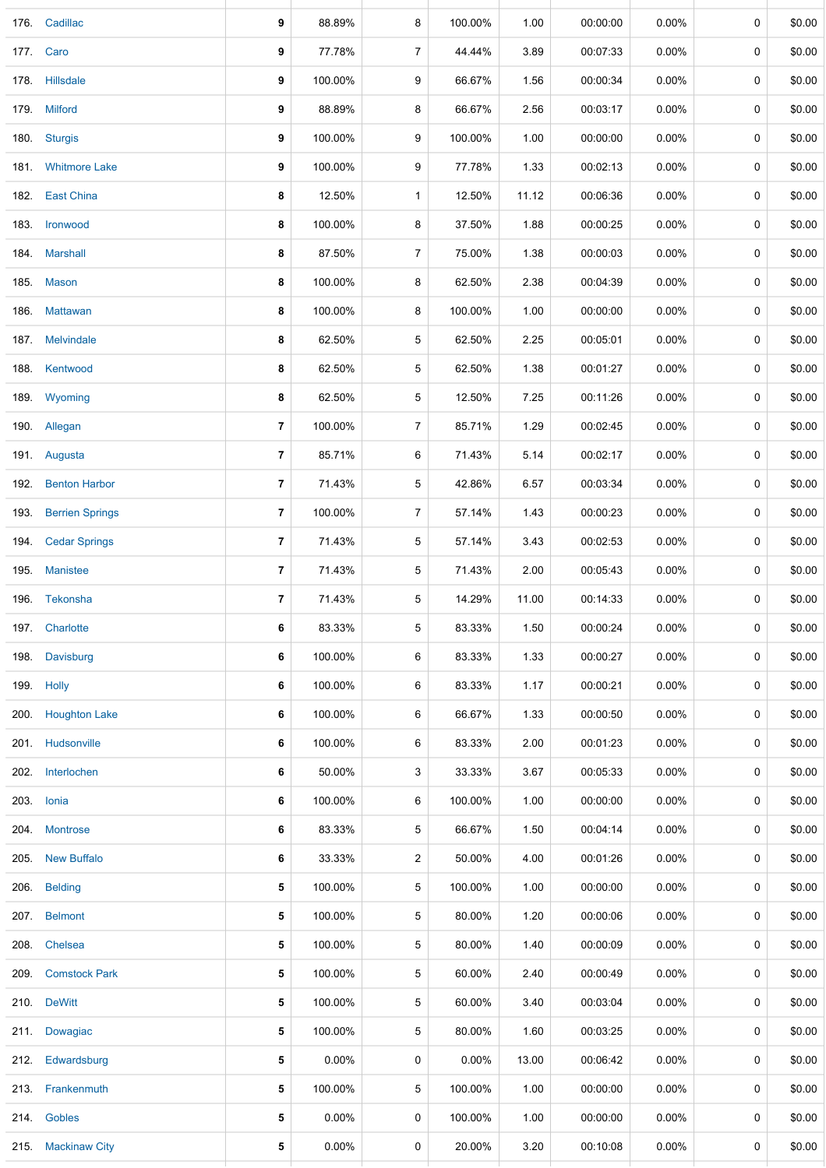|      | 176. Cadillac          | 9              | 88.89%   | 8              | 100.00% | 1.00  | 00:00:00 | 0.00%    | 0 | \$0.00 |
|------|------------------------|----------------|----------|----------------|---------|-------|----------|----------|---|--------|
|      | 177. Caro              | 9              | 77.78%   | 7              | 44.44%  | 3.89  | 00:07:33 | $0.00\%$ | 0 | \$0.00 |
| 178. | <b>Hillsdale</b>       | 9              | 100.00%  | 9              | 66.67%  | 1.56  | 00:00:34 | $0.00\%$ | 0 | \$0.00 |
|      | 179. Milford           | 9              | 88.89%   | 8              | 66.67%  | 2.56  | 00:03:17 | $0.00\%$ | 0 | \$0.00 |
|      | 180. Sturgis           | 9              | 100.00%  | 9              | 100.00% | 1.00  | 00:00:00 | $0.00\%$ | 0 | \$0.00 |
|      | 181. Whitmore Lake     | 9              | 100.00%  | 9              | 77.78%  | 1.33  | 00:02:13 | $0.00\%$ | 0 | \$0.00 |
|      | 182. East China        | 8              | 12.50%   | $\mathbf{1}$   | 12.50%  | 11.12 | 00:06:36 | 0.00%    | 0 | \$0.00 |
|      | 183. Ironwood          | 8              | 100.00%  | 8              | 37.50%  | 1.88  | 00:00:25 | $0.00\%$ | 0 | \$0.00 |
|      | 184. Marshall          | 8              | 87.50%   | $\overline{7}$ | 75.00%  | 1.38  | 00:00:03 | $0.00\%$ | 0 | \$0.00 |
|      | 185. Mason             | 8              | 100.00%  | 8              | 62.50%  | 2.38  | 00:04:39 | $0.00\%$ | 0 | \$0.00 |
| 186. | Mattawan               | 8              | 100.00%  | 8              | 100.00% | 1.00  | 00:00:00 | $0.00\%$ | 0 | \$0.00 |
| 187. | <b>Melvindale</b>      | 8              | 62.50%   | 5              | 62.50%  | 2.25  | 00:05:01 | $0.00\%$ | 0 | \$0.00 |
| 188. | Kentwood               | 8              | 62.50%   | 5              | 62.50%  | 1.38  | 00:01:27 | 0.00%    | 0 | \$0.00 |
|      | 189. Wyoming           | 8              | 62.50%   | 5              | 12.50%  | 7.25  | 00:11:26 | $0.00\%$ | 0 | \$0.00 |
|      | 190. Allegan           | 7              | 100.00%  | 7              | 85.71%  | 1.29  | 00:02:45 | $0.00\%$ | 0 | \$0.00 |
|      | 191. Augusta           | 7              | 85.71%   | 6              | 71.43%  | 5.14  | 00:02:17 | $0.00\%$ | 0 | \$0.00 |
| 192. | <b>Benton Harbor</b>   | 7              | 71.43%   | 5              | 42.86%  | 6.57  | 00:03:34 | 0.00%    | 0 | \$0.00 |
| 193. | <b>Berrien Springs</b> | 7              | 100.00%  | 7              | 57.14%  | 1.43  | 00:00:23 | $0.00\%$ | 0 | \$0.00 |
|      | 194. Cedar Springs     | $\overline{7}$ | 71.43%   | 5              | 57.14%  | 3.43  | 00:02:53 | $0.00\%$ | 0 | \$0.00 |
| 195. | <b>Manistee</b>        | 7              | 71.43%   | 5              | 71.43%  | 2.00  | 00:05:43 | 0.00%    | 0 | \$0.00 |
|      | 196. Tekonsha          | $\overline{7}$ | 71.43%   | 5              | 14.29%  | 11.00 | 00:14:33 | $0.00\%$ | 0 | \$0.00 |
|      | 197. Charlotte         | 6              | 83.33%   | 5              | 83.33%  | 1.50  | 00:00:24 | $0.00\%$ | 0 | \$0.00 |
| 198. | Davisburg              | 6              | 100.00%  | 6              | 83.33%  | 1.33  | 00:00:27 | $0.00\%$ | 0 | \$0.00 |
| 199. | Holly                  | 6              | 100.00%  | 6              | 83.33%  | 1.17  | 00:00:21 | $0.00\%$ | 0 | \$0.00 |
| 200. | <b>Houghton Lake</b>   | 6              | 100.00%  | 6              | 66.67%  | 1.33  | 00:00:50 | $0.00\%$ | 0 | \$0.00 |
|      | 201. Hudsonville       | 6              | 100.00%  | 6              | 83.33%  | 2.00  | 00:01:23 | $0.00\%$ | 0 | \$0.00 |
| 202. | Interlochen            | 6              | 50.00%   | 3              | 33.33%  | 3.67  | 00:05:33 | $0.00\%$ | 0 | \$0.00 |
| 203. | Ionia                  | 6              | 100.00%  | 6              | 100.00% | 1.00  | 00:00:00 | $0.00\%$ | 0 | \$0.00 |
| 204. | <b>Montrose</b>        | 6              | 83.33%   | 5              | 66.67%  | 1.50  | 00:04:14 | $0.00\%$ | 0 | \$0.00 |
| 205. | <b>New Buffalo</b>     | 6              | 33.33%   | 2              | 50.00%  | 4.00  | 00:01:26 | $0.00\%$ | 0 | \$0.00 |
| 206. | <b>Belding</b>         | 5              | 100.00%  | 5              | 100.00% | 1.00  | 00:00:00 | $0.00\%$ | 0 | \$0.00 |
| 207. | <b>Belmont</b>         | 5              | 100.00%  | 5              | 80.00%  | 1.20  | 00:00:06 | $0.00\%$ | 0 | \$0.00 |
| 208. | Chelsea                | 5              | 100.00%  | 5              | 80.00%  | 1.40  | 00:00:09 | $0.00\%$ | 0 | \$0.00 |
| 209. | <b>Comstock Park</b>   | 5              | 100.00%  | 5              | 60.00%  | 2.40  | 00:00:49 | $0.00\%$ | 0 | \$0.00 |
|      | 210. DeWitt            | 5              | 100.00%  | 5              | 60.00%  | 3.40  | 00:03:04 | $0.00\%$ | 0 | \$0.00 |
| 211. | Dowagiac               | 5              | 100.00%  | 5              | 80.00%  | 1.60  | 00:03:25 | $0.00\%$ | 0 | \$0.00 |
| 212. | Edwardsburg            | 5              | 0.00%    | 0              | 0.00%   | 13.00 | 00:06:42 | $0.00\%$ | 0 | \$0.00 |
|      | 213. Frankenmuth       | 5              | 100.00%  | 5              | 100.00% | 1.00  | 00:00:00 | $0.00\%$ | 0 | \$0.00 |
|      | 214. Gobles            | 5              | $0.00\%$ | 0              | 100.00% | 1.00  | 00:00:00 | $0.00\%$ | 0 | \$0.00 |
| 215. | <b>Mackinaw City</b>   | 5              | 0.00%    | 0              | 20.00%  | 3.20  | 00:10:08 | $0.00\%$ | 0 | \$0.00 |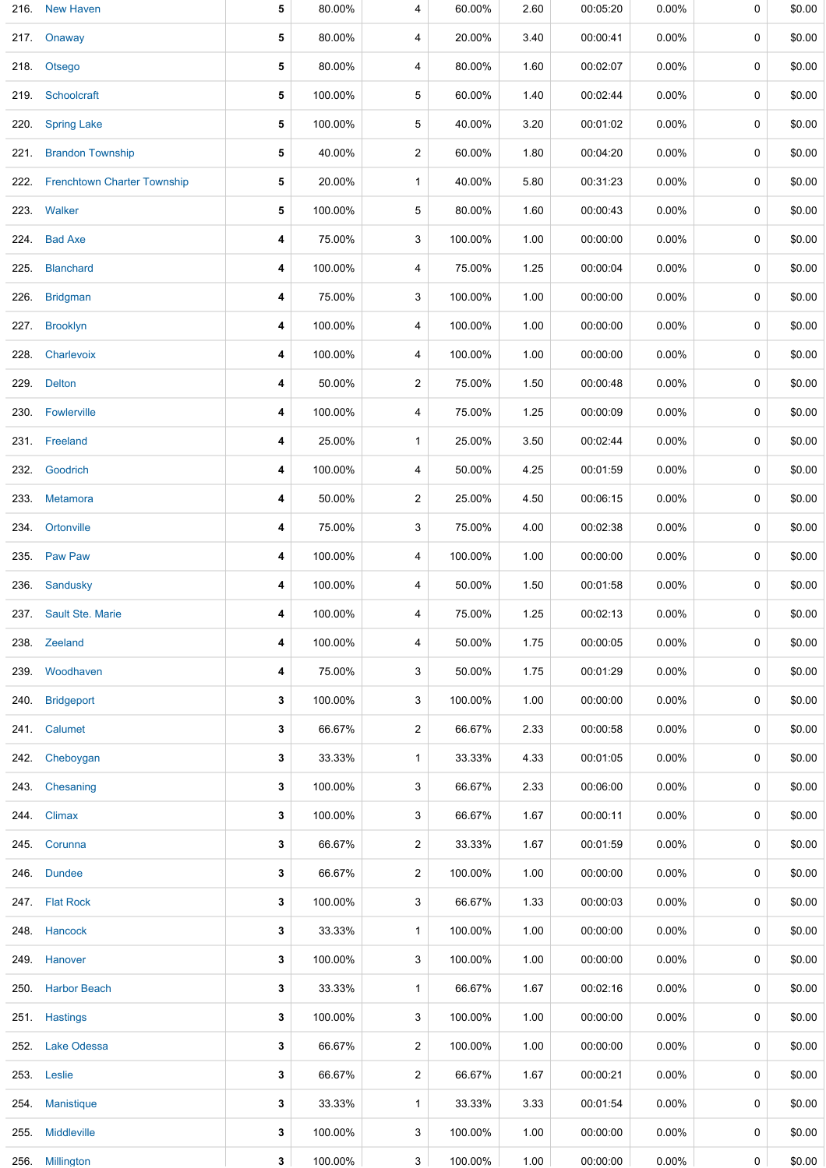| 216. | <b>New Haven</b>                 | 5 | 80.00%  | 4                       | 60.00%  | 2.60 | 00:05:20 | 0.00%    | 0           | \$0.00 |
|------|----------------------------------|---|---------|-------------------------|---------|------|----------|----------|-------------|--------|
| 217. | Onaway                           | 5 | 80.00%  | 4                       | 20.00%  | 3.40 | 00:00:41 | $0.00\%$ | 0           | \$0.00 |
|      | 218. Otsego                      | 5 | 80.00%  | $\overline{4}$          | 80.00%  | 1.60 | 00:02:07 | $0.00\%$ | 0           | \$0.00 |
|      | 219. Schoolcraft                 | 5 | 100.00% | 5                       | 60.00%  | 1.40 | 00:02:44 | $0.00\%$ | 0           | \$0.00 |
| 220. | <b>Spring Lake</b>               | 5 | 100.00% | 5                       | 40.00%  | 3.20 | 00:01:02 | $0.00\%$ | 0           | \$0.00 |
| 221. | <b>Brandon Township</b>          | 5 | 40.00%  | $\overline{2}$          | 60.00%  | 1.80 | 00:04:20 | $0.00\%$ | 0           | \$0.00 |
|      | 222. Frenchtown Charter Township | 5 | 20.00%  | $\mathbf{1}$            | 40.00%  | 5.80 | 00:31:23 | $0.00\%$ | 0           | \$0.00 |
|      | 223. Walker                      | 5 | 100.00% | 5                       | 80.00%  | 1.60 | 00:00:43 | $0.00\%$ | 0           | \$0.00 |
| 224. | <b>Bad Axe</b>                   | 4 | 75.00%  | 3                       | 100.00% | 1.00 | 00:00:00 | $0.00\%$ | 0           | \$0.00 |
| 225. | <b>Blanchard</b>                 | 4 | 100.00% | 4                       | 75.00%  | 1.25 | 00:00:04 | $0.00\%$ | 0           | \$0.00 |
| 226. | <b>Bridgman</b>                  | 4 | 75.00%  | 3                       | 100.00% | 1.00 | 00:00:00 | $0.00\%$ | 0           | \$0.00 |
| 227. | <b>Brooklyn</b>                  | 4 | 100.00% | 4                       | 100.00% | 1.00 | 00:00:00 | $0.00\%$ | $\mathbf 0$ | \$0.00 |
| 228. | Charlevoix                       | 4 | 100.00% | 4                       | 100.00% | 1.00 | 00:00:00 | $0.00\%$ | 0           | \$0.00 |
| 229. | <b>Delton</b>                    | 4 | 50.00%  | $\overline{\mathbf{c}}$ | 75.00%  | 1.50 | 00:00:48 | $0.00\%$ | $\mathbf 0$ | \$0.00 |
| 230. | Fowlerville                      | 4 | 100.00% | 4                       | 75.00%  | 1.25 | 00:00:09 | $0.00\%$ | 0           | \$0.00 |
|      | 231. Freeland                    | 4 | 25.00%  | $\mathbf{1}$            | 25.00%  | 3.50 | 00:02:44 | $0.00\%$ | 0           | \$0.00 |
| 232. | Goodrich                         | 4 | 100.00% | 4                       | 50.00%  | 4.25 | 00:01:59 | $0.00\%$ | 0           | \$0.00 |
| 233. | Metamora                         | 4 | 50.00%  | 2                       | 25.00%  | 4.50 | 00:06:15 | $0.00\%$ | 0           | \$0.00 |
| 234. | Ortonville                       | 4 | 75.00%  | 3                       | 75.00%  | 4.00 | 00:02:38 | $0.00\%$ | 0           | \$0.00 |
|      | 235. Paw Paw                     | 4 | 100.00% | 4                       | 100.00% | 1.00 | 00:00:00 | $0.00\%$ | 0           | \$0.00 |
| 236. | Sandusky                         | 4 | 100.00% | 4                       | 50.00%  | 1.50 | 00:01:58 | $0.00\%$ | 0           | \$0.00 |
|      | 237. Sault Ste. Marie            | 4 | 100.00% | 4                       | 75.00%  | 1.25 | 00:02:13 | $0.00\%$ | 0           | \$0.00 |
|      | 238. Zeeland                     | 4 | 100.00% | 4                       | 50.00%  | 1.75 | 00:00:05 | $0.00\%$ | 0           | \$0.00 |
|      | 239 Woodhaven                    | 4 | 75.00%  | 3                       | 50.00%  | 1.75 | 00:01:29 | $0.00\%$ | 0           | \$0.00 |
| 240. | <b>Bridgeport</b>                | 3 | 100.00% | 3                       | 100.00% | 1.00 | 00:00:00 | $0.00\%$ | 0           | \$0.00 |
|      | 241. Calumet                     | 3 | 66.67%  | 2                       | 66.67%  | 2.33 | 00:00:58 | $0.00\%$ | 0           | \$0.00 |
| 242. | Cheboygan                        | 3 | 33.33%  | $\mathbf 1$             | 33.33%  | 4.33 | 00:01:05 | $0.00\%$ | 0           | \$0.00 |
|      | 243. Chesaning                   | 3 | 100.00% | 3                       | 66.67%  | 2.33 | 00:06:00 | $0.00\%$ | 0           | \$0.00 |
|      | 244. Climax                      | 3 | 100.00% | 3                       | 66.67%  | 1.67 | 00:00:11 | $0.00\%$ | 0           | \$0.00 |
|      | 245. Corunna                     | 3 | 66.67%  | 2                       | 33.33%  | 1.67 | 00:01:59 | $0.00\%$ | 0           | \$0.00 |
|      | 246. Dundee                      | 3 | 66.67%  | 2                       | 100.00% | 1.00 | 00:00:00 | $0.00\%$ | 0           | \$0.00 |
|      | 247. Flat Rock                   | 3 | 100.00% | 3                       | 66.67%  | 1.33 | 00:00:03 | $0.00\%$ | 0           | \$0.00 |
|      | 248. Hancock                     | 3 | 33.33%  | $\mathbf{1}$            | 100.00% | 1.00 | 00:00:00 | $0.00\%$ | 0           | \$0.00 |
|      | 249. Hanover                     | 3 | 100.00% | 3                       | 100.00% | 1.00 | 00:00:00 | $0.00\%$ | 0           | \$0.00 |
|      | 250. Harbor Beach                | 3 | 33.33%  | $\mathbf{1}$            | 66.67%  | 1.67 | 00:02:16 | $0.00\%$ | 0           | \$0.00 |
|      | 251. Hastings                    | 3 | 100.00% | 3                       | 100.00% | 1.00 | 00:00:00 | $0.00\%$ | 0           | \$0.00 |
| 252. | <b>Lake Odessa</b>               | 3 | 66.67%  | 2                       | 100.00% | 1.00 | 00:00:00 | $0.00\%$ | 0           | \$0.00 |
|      | 253. Leslie                      | 3 | 66.67%  | 2                       | 66.67%  | 1.67 | 00:00:21 | $0.00\%$ | 0           | \$0.00 |
|      | 254. Manistique                  | 3 | 33.33%  | $\mathbf{1}$            | 33.33%  | 3.33 | 00:01:54 | $0.00\%$ | 0           | \$0.00 |
| 255. | Middleville                      | 3 | 100.00% | 3                       | 100.00% | 1.00 | 00:00:00 | $0.00\%$ | 0           | \$0.00 |
| 256. | Millington                       | 3 | 100.00% | 3                       | 100.00% | 1.00 | 00:00:00 | 0.00%    | 0           | \$0.00 |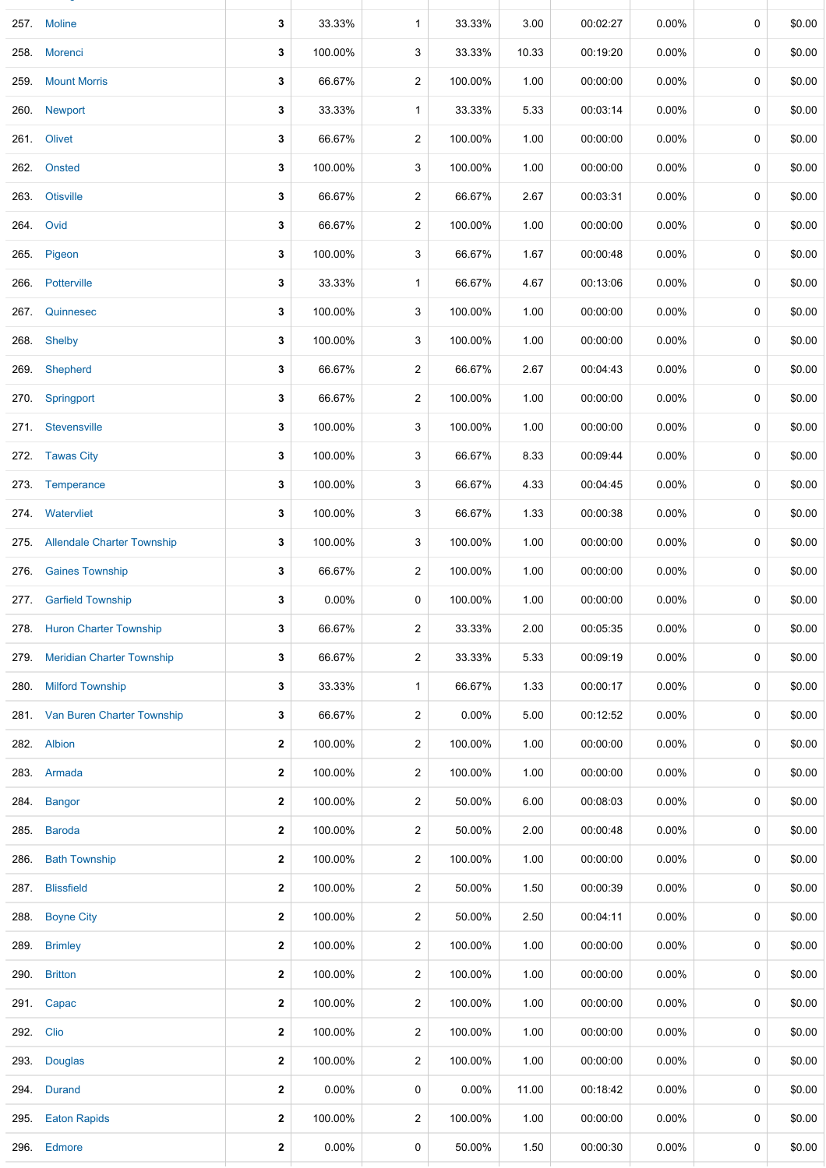|           | 257. Moline                       | 3            | 33.33%   | $\mathbf{1}$   | 33.33%  | 3.00  | 00:02:27 | $0.00\%$ | 0 | \$0.00 |
|-----------|-----------------------------------|--------------|----------|----------------|---------|-------|----------|----------|---|--------|
|           | 258. Morenci                      | 3            | 100.00%  | 3              | 33.33%  | 10.33 | 00:19:20 | $0.00\%$ | 0 | \$0.00 |
| 259.      | <b>Mount Morris</b>               | 3            | 66.67%   | $\overline{c}$ | 100.00% | 1.00  | 00:00:00 | $0.00\%$ | 0 | \$0.00 |
| 260.      | Newport                           | 3            | 33.33%   | 1              | 33.33%  | 5.33  | 00:03:14 | $0.00\%$ | 0 | \$0.00 |
| 261.      | Olivet                            | 3            | 66.67%   | $\overline{c}$ | 100.00% | 1.00  | 00:00:00 | $0.00\%$ | 0 | \$0.00 |
| 262.      | Onsted                            | 3            | 100.00%  | 3              | 100.00% | 1.00  | 00:00:00 | $0.00\%$ | 0 | \$0.00 |
| 263.      | <b>Otisville</b>                  | 3            | 66.67%   | $\overline{c}$ | 66.67%  | 2.67  | 00:03:31 | $0.00\%$ | 0 | \$0.00 |
| 264. Ovid |                                   | 3            | 66.67%   | 2              | 100.00% | 1.00  | 00:00:00 | $0.00\%$ | 0 | \$0.00 |
| 265.      | Pigeon                            | 3            | 100.00%  | 3              | 66.67%  | 1.67  | 00:00:48 | $0.00\%$ | 0 | \$0.00 |
| 266.      | Potterville                       | 3            | 33.33%   | 1              | 66.67%  | 4.67  | 00:13:06 | $0.00\%$ | 0 | \$0.00 |
| 267.      | Quinnesec                         | 3            | 100.00%  | 3              | 100.00% | 1.00  | 00:00:00 | $0.00\%$ | 0 | \$0.00 |
|           | 268. Shelby                       | 3            | 100.00%  | 3              | 100.00% | 1.00  | 00:00:00 | $0.00\%$ | 0 | \$0.00 |
|           | 269. Shepherd                     | 3            | 66.67%   | 2              | 66.67%  | 2.67  | 00:04:43 | $0.00\%$ | 0 | \$0.00 |
|           | 270. Springport                   | 3            | 66.67%   | $\overline{c}$ | 100.00% | 1.00  | 00:00:00 | $0.00\%$ | 0 | \$0.00 |
|           | 271. Stevensville                 | 3            | 100.00%  | 3              | 100.00% | 1.00  | 00:00:00 | $0.00\%$ | 0 | \$0.00 |
|           | 272. Tawas City                   | 3            | 100.00%  | 3              | 66.67%  | 8.33  | 00:09:44 | $0.00\%$ | 0 | \$0.00 |
| 273.      | Temperance                        | 3            | 100.00%  | 3              | 66.67%  | 4.33  | 00:04:45 | $0.00\%$ | 0 | \$0.00 |
| 274.      | Watervliet                        | 3            | 100.00%  | 3              | 66.67%  | 1.33  | 00:00:38 | $0.00\%$ | 0 | \$0.00 |
| 275.      | <b>Allendale Charter Township</b> | 3            | 100.00%  | 3              | 100.00% | 1.00  | 00:00:00 | $0.00\%$ | 0 | \$0.00 |
| 276.      | <b>Gaines Township</b>            | 3            | 66.67%   | $\overline{c}$ | 100.00% | 1.00  | 00:00:00 | $0.00\%$ | 0 | \$0.00 |
| 277.      | <b>Garfield Township</b>          | 3            | 0.00%    | 0              | 100.00% | 1.00  | 00:00:00 | $0.00\%$ | 0 | \$0.00 |
|           | 278. Huron Charter Township       | 3            | 66.67%   | $\overline{2}$ | 33.33%  | 2.00  | 00:05:35 | $0.00\%$ | 0 | \$0.00 |
| 279.      | <b>Meridian Charter Township</b>  | 3            | 66.67%   | 2              | 33.33%  | 5.33  | 00:09:19 | $0.00\%$ | 0 | \$0.00 |
| 280.      | <b>Milford Township</b>           | 3            | 33.33%   | 1              | 66.67%  | 1.33  | 00:00:17 | $0.00\%$ | 0 | \$0.00 |
|           | 281. Van Buren Charter Township   | 3            | 66.67%   | 2              | 0.00%   | 5.00  | 00:12:52 | $0.00\%$ | 0 | \$0.00 |
|           | 282. Albion                       | 2            | 100.00%  | 2              | 100.00% | 1.00  | 00:00:00 | 0.00%    | 0 | \$0.00 |
|           | 283. Armada                       | $\mathbf{2}$ | 100.00%  | $\overline{c}$ | 100.00% | 1.00  | 00:00:00 | $0.00\%$ | 0 | \$0.00 |
| 284.      | <b>Bangor</b>                     | 2            | 100.00%  | 2              | 50.00%  | 6.00  | 00:08:03 | $0.00\%$ | 0 | \$0.00 |
|           | 285. Baroda                       | $\mathbf{2}$ | 100.00%  | $\overline{c}$ | 50.00%  | 2.00  | 00:00:48 | $0.00\%$ | 0 | \$0.00 |
|           | 286. Bath Township                | 2            | 100.00%  | 2              | 100.00% | 1.00  | 00:00:00 | $0.00\%$ | 0 | \$0.00 |
| 287.      | <b>Blissfield</b>                 | 2            | 100.00%  | $\overline{c}$ | 50.00%  | 1.50  | 00:00:39 | $0.00\%$ | 0 | \$0.00 |
| 288.      | <b>Boyne City</b>                 | 2            | 100.00%  | 2              | 50.00%  | 2.50  | 00:04:11 | $0.00\%$ | 0 | \$0.00 |
| 289.      | <b>Brimley</b>                    | 2            | 100.00%  | $\overline{c}$ | 100.00% | 1.00  | 00:00:00 | 0.00%    | 0 | \$0.00 |
| 290.      | <b>Britton</b>                    | 2            | 100.00%  | $\overline{2}$ | 100.00% | 1.00  | 00:00:00 | 0.00%    | 0 | \$0.00 |
| 291.      | Capac                             | 2            | 100.00%  | $\overline{c}$ | 100.00% | 1.00  | 00:00:00 | $0.00\%$ | 0 | \$0.00 |
| 292. Clio |                                   | $\mathbf 2$  | 100.00%  | 2              | 100.00% | 1.00  | 00:00:00 | $0.00\%$ | 0 | \$0.00 |
| 293.      | <b>Douglas</b>                    | 2            | 100.00%  | 2              | 100.00% | 1.00  | 00:00:00 | $0.00\%$ | 0 | \$0.00 |
| 294.      | <b>Durand</b>                     | 2            | 0.00%    | 0              | 0.00%   | 11.00 | 00:18:42 | $0.00\%$ | 0 | \$0.00 |
| 295.      | <b>Eaton Rapids</b>               | 2            | 100.00%  | $\overline{c}$ | 100.00% | 1.00  | 00:00:00 | $0.00\%$ | 0 | \$0.00 |
|           | 296. Edmore                       | $\mathbf{2}$ | $0.00\%$ | 0              | 50.00%  | 1.50  | 00:00:30 | $0.00\%$ | 0 | \$0.00 |

256. Millington **3** 100.00% 3 100.00% 1.00 00:00:00 0.00% 0 \$0.00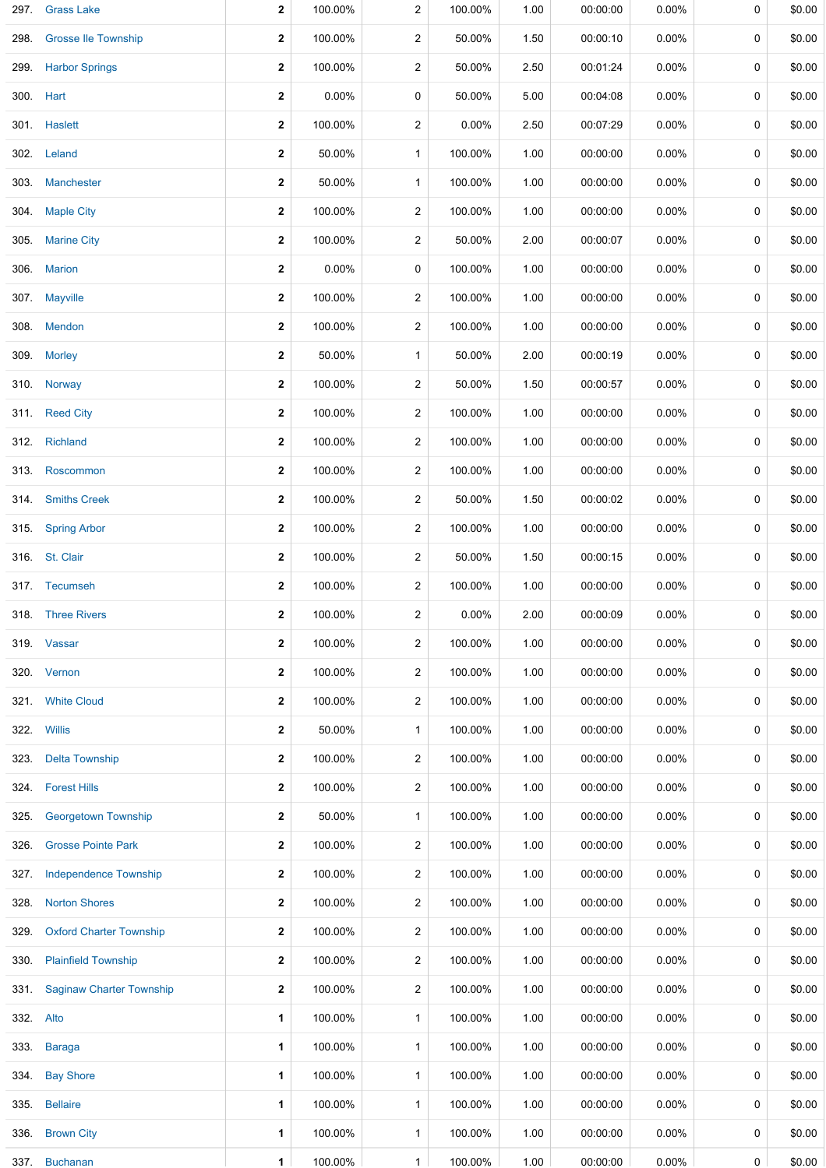| 297.      | <b>Grass Lake</b>               | $\mathbf{2}$ | 100.00%  | 2                       | 100.00%  | 1.00 | 00:00:00 | 0.00%    | 0           | \$0.00 |
|-----------|---------------------------------|--------------|----------|-------------------------|----------|------|----------|----------|-------------|--------|
| 298.      | <b>Grosse Ile Township</b>      | $\mathbf{2}$ | 100.00%  | $\overline{2}$          | 50.00%   | 1.50 | 00:00:10 | $0.00\%$ | 0           | \$0.00 |
| 299.      | <b>Harbor Springs</b>           | $\mathbf{2}$ | 100.00%  | 2                       | 50.00%   | 2.50 | 00:01:24 | $0.00\%$ | 0           | \$0.00 |
| 300. Hart |                                 | $\mathbf{2}$ | $0.00\%$ | 0                       | 50.00%   | 5.00 | 00:04:08 | $0.00\%$ | 0           | \$0.00 |
|           | 301. Haslett                    | 2            | 100.00%  | 2                       | $0.00\%$ | 2.50 | 00:07:29 | $0.00\%$ | 0           | \$0.00 |
|           | 302. Leland                     | $\mathbf{2}$ | 50.00%   | $\mathbf{1}$            | 100.00%  | 1.00 | 00:00:00 | $0.00\%$ | 0           | \$0.00 |
|           | 303. Manchester                 | 2            | 50.00%   | $\mathbf{1}$            | 100.00%  | 1.00 | 00:00:00 | $0.00\%$ | 0           | \$0.00 |
| 304.      | <b>Maple City</b>               | $\mathbf{2}$ | 100.00%  | $\overline{2}$          | 100.00%  | 1.00 | 00:00:00 | $0.00\%$ | 0           | \$0.00 |
|           | 305. Marine City                | 2            | 100.00%  | $\overline{2}$          | 50.00%   | 2.00 | 00:00:07 | $0.00\%$ | 0           | \$0.00 |
| 306.      | <b>Marion</b>                   | $\mathbf{2}$ | $0.00\%$ | 0                       | 100.00%  | 1.00 | 00:00:00 | $0.00\%$ | 0           | \$0.00 |
|           | 307. Mayville                   | $\mathbf{2}$ | 100.00%  | $\overline{2}$          | 100.00%  | 1.00 | 00:00:00 | $0.00\%$ | 0           | \$0.00 |
| 308.      | Mendon                          | $\mathbf{2}$ | 100.00%  | 2                       | 100.00%  | 1.00 | 00:00:00 | $0.00\%$ | $\mathbf 0$ | \$0.00 |
|           | 309. Morley                     | $\mathbf{2}$ | 50.00%   | $\mathbf{1}$            | 50.00%   | 2.00 | 00:00:19 | $0.00\%$ | 0           | \$0.00 |
|           | 310. Norway                     | $\mathbf{2}$ | 100.00%  | 2                       | 50.00%   | 1.50 | 00:00:57 | $0.00\%$ | 0           | \$0.00 |
|           | 311. Reed City                  | $\mathbf{2}$ | 100.00%  | 2                       | 100.00%  | 1.00 | 00:00:00 | $0.00\%$ | 0           | \$0.00 |
|           | 312. Richland                   | $\mathbf{2}$ | 100.00%  | 2                       | 100.00%  | 1.00 | 00:00:00 | $0.00\%$ | 0           | \$0.00 |
| 313.      | Roscommon                       | $\mathbf{2}$ | 100.00%  | $\overline{\mathbf{c}}$ | 100.00%  | 1.00 | 00:00:00 | $0.00\%$ | 0           | \$0.00 |
|           | 314. Smiths Creek               | $\mathbf{2}$ | 100.00%  | 2                       | 50.00%   | 1.50 | 00:00:02 | $0.00\%$ | 0           | \$0.00 |
|           | 315. Spring Arbor               | $\mathbf{2}$ | 100.00%  | 2                       | 100.00%  | 1.00 | 00:00:00 | $0.00\%$ | 0           | \$0.00 |
|           | 316. St. Clair                  | 2            | 100.00%  | 2                       | 50.00%   | 1.50 | 00:00:15 | $0.00\%$ | 0           | \$0.00 |
|           | 317. Tecumseh                   | $\mathbf{2}$ | 100.00%  | $\overline{\mathbf{c}}$ | 100.00%  | 1.00 | 00:00:00 | $0.00\%$ | 0           | \$0.00 |
|           | 318. Three Rivers               | $\mathbf{2}$ | 100.00%  | 2                       | $0.00\%$ | 2.00 | 00:00:09 | $0.00\%$ | 0           | \$0.00 |
|           | 319. Vassar                     | $\mathbf{2}$ | 100.00%  | $\overline{2}$          | 100.00%  | 1.00 | 00:00:00 | $0.00\%$ | 0           | \$0.00 |
|           | 320. Vernon                     | 2            | 100.00%  | 2                       | 100.00%  | 1.00 | 00:00:00 | $0.00\%$ | 0           | \$0.00 |
| 321.      | <b>White Cloud</b>              | 2            | 100.00%  | 2                       | 100.00%  | 1.00 | 00:00:00 | $0.00\%$ | 0           | \$0.00 |
|           | 322. Willis                     | 2            | 50.00%   | $\mathbf{1}$            | 100.00%  | 1.00 | 00:00:00 | $0.00\%$ | 0           | \$0.00 |
| 323.      | <b>Delta Township</b>           | 2            | 100.00%  | $\overline{\mathbf{c}}$ | 100.00%  | 1.00 | 00:00:00 | $0.00\%$ | 0           | \$0.00 |
| 324.      | <b>Forest Hills</b>             | $\mathbf{2}$ | 100.00%  | 2                       | 100.00%  | 1.00 | 00:00:00 | $0.00\%$ | 0           | \$0.00 |
| 325.      | <b>Georgetown Township</b>      | $\mathbf{2}$ | 50.00%   | $\mathbf{1}$            | 100.00%  | 1.00 | 00:00:00 | $0.00\%$ | 0           | \$0.00 |
| 326.      | <b>Grosse Pointe Park</b>       | $\mathbf{2}$ | 100.00%  | 2                       | 100.00%  | 1.00 | 00:00:00 | $0.00\%$ | 0           | \$0.00 |
| 327.      | <b>Independence Township</b>    | $\mathbf{2}$ | 100.00%  | 2                       | 100.00%  | 1.00 | 00:00:00 | $0.00\%$ | 0           | \$0.00 |
| 328.      | <b>Norton Shores</b>            | $\mathbf{2}$ | 100.00%  | 2                       | 100.00%  | 1.00 | 00:00:00 | $0.00\%$ | 0           | \$0.00 |
| 329.      | <b>Oxford Charter Township</b>  | 2            | 100.00%  | 2                       | 100.00%  | 1.00 | 00:00:00 | $0.00\%$ | 0           | \$0.00 |
| 330.      | <b>Plainfield Township</b>      | $\mathbf{2}$ | 100.00%  | $\overline{2}$          | 100.00%  | 1.00 | 00:00:00 | $0.00\%$ | 0           | \$0.00 |
| 331.      | <b>Saginaw Charter Township</b> | 2            | 100.00%  | $\overline{2}$          | 100.00%  | 1.00 | 00:00:00 | $0.00\%$ | 0           | \$0.00 |
| 332.      | Alto                            | 1            | 100.00%  | $\mathbf{1}$            | 100.00%  | 1.00 | 00:00:00 | $0.00\%$ | 0           | \$0.00 |
| 333.      | <b>Baraga</b>                   | 1            | 100.00%  | $\mathbf{1}$            | 100.00%  | 1.00 | 00:00:00 | $0.00\%$ | 0           | \$0.00 |
| 334.      | <b>Bay Shore</b>                | 1            | 100.00%  | $\mathbf{1}$            | 100.00%  | 1.00 | 00:00:00 | $0.00\%$ | 0           | \$0.00 |
| 335.      | <b>Bellaire</b>                 | 1            | 100.00%  | $\mathbf{1}$            | 100.00%  | 1.00 | 00:00:00 | $0.00\%$ | 0           | \$0.00 |
| 336.      | <b>Brown City</b>               | 1            | 100.00%  | $\mathbf{1}$            | 100.00%  | 1.00 | 00:00:00 | $0.00\%$ | 0           | \$0.00 |
| 337.      | <b>Buchanan</b>                 | $\mathbf{1}$ | 100.00%  | $\mathbf{1}$            | 100.00%  | 1.00 | 00:00:00 | $0.00\%$ | 0           | \$0.00 |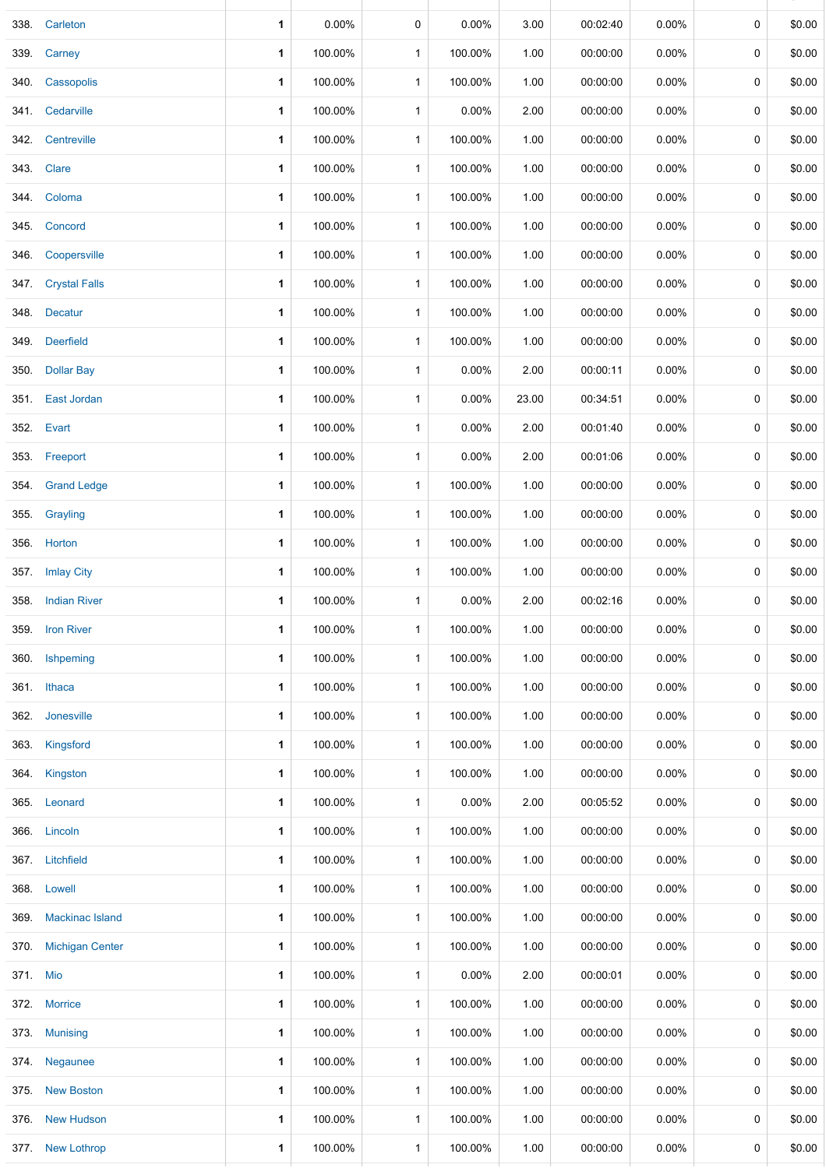| 338.     | Carleton               | $\mathbf{1}$ | $0.00\%$ | 0            | 0.00%    | 3.00  | 00:02:40 | $0.00\%$ | $\mathbf 0$ | \$0.00 |
|----------|------------------------|--------------|----------|--------------|----------|-------|----------|----------|-------------|--------|
| 339.     | Carney                 | 1            | 100.00%  | $\mathbf{1}$ | 100.00%  | 1.00  | 00:00:00 | $0.00\%$ | $\mathbf 0$ | \$0.00 |
|          | 340. Cassopolis        | 1            | 100.00%  | $\mathbf{1}$ | 100.00%  | 1.00  | 00:00:00 | $0.00\%$ | 0           | \$0.00 |
|          | 341. Cedarville        | 1            | 100.00%  | $\mathbf{1}$ | $0.00\%$ | 2.00  | 00:00:00 | $0.00\%$ | 0           | \$0.00 |
| 342.     | Centreville            | 1            | 100.00%  | $\mathbf{1}$ | 100.00%  | 1.00  | 00:00:00 | $0.00\%$ | $\mathbf 0$ | \$0.00 |
|          | 343. Clare             | 1            | 100.00%  | $\mathbf{1}$ | 100.00%  | 1.00  | 00:00:00 | $0.00\%$ | 0           | \$0.00 |
| 344.     | Coloma                 | 1            | 100.00%  | $\mathbf{1}$ | 100.00%  | 1.00  | 00:00:00 | $0.00\%$ | 0           | \$0.00 |
| 345.     | Concord                | 1            | 100.00%  | $\mathbf{1}$ | 100.00%  | 1.00  | 00:00:00 | $0.00\%$ | 0           | \$0.00 |
| 346.     | Coopersville           | 1            | 100.00%  | $\mathbf{1}$ | 100.00%  | 1.00  | 00:00:00 | $0.00\%$ | $\mathbf 0$ | \$0.00 |
|          | 347. Crystal Falls     | 1            | 100.00%  | $\mathbf{1}$ | 100.00%  | 1.00  | 00:00:00 | $0.00\%$ | 0           | \$0.00 |
|          | 348. Decatur           | 1            | 100.00%  | $\mathbf{1}$ | 100.00%  | 1.00  | 00:00:00 | $0.00\%$ | 0           | \$0.00 |
| 349.     | <b>Deerfield</b>       | 1            | 100.00%  | $\mathbf{1}$ | 100.00%  | 1.00  | 00:00:00 | 0.00%    | 0           | \$0.00 |
| 350.     | <b>Dollar Bay</b>      | 1            | 100.00%  | $\mathbf{1}$ | 0.00%    | 2.00  | 00:00:11 | $0.00\%$ | 0           | \$0.00 |
|          | 351. East Jordan       | 1            | 100.00%  | $\mathbf{1}$ | 0.00%    | 23.00 | 00:34:51 | $0.00\%$ | 0           | \$0.00 |
|          | 352. Evart             | 1            | 100.00%  | $\mathbf{1}$ | 0.00%    | 2.00  | 00:01:40 | 0.00%    | $\mathbf 0$ | \$0.00 |
|          | 353. Freeport          | 1            | 100.00%  | $\mathbf{1}$ | $0.00\%$ | 2.00  | 00:01:06 | $0.00\%$ | $\mathbf 0$ | \$0.00 |
| 354.     | <b>Grand Ledge</b>     | 1            | 100.00%  | $\mathbf{1}$ | 100.00%  | 1.00  | 00:00:00 | $0.00\%$ | 0           | \$0.00 |
|          | 355. Grayling          | 1            | 100.00%  | $\mathbf{1}$ | 100.00%  | 1.00  | 00:00:00 | $0.00\%$ | $\mathbf 0$ | \$0.00 |
|          | 356. Horton            | 1            | 100.00%  | $\mathbf{1}$ | 100.00%  | 1.00  | 00:00:00 | $0.00\%$ | 0           | \$0.00 |
| 357.     | <b>Imlay City</b>      | 1            | 100.00%  | $\mathbf{1}$ | 100.00%  | 1.00  | 00:00:00 | $0.00\%$ | 0           | \$0.00 |
| 358.     | <b>Indian River</b>    | 1            | 100.00%  | $\mathbf{1}$ | $0.00\%$ | 2.00  | 00:02:16 | $0.00\%$ | 0           | \$0.00 |
| 359.     | <b>Iron River</b>      | 1            | 100.00%  | $\mathbf 1$  | 100.00%  | 1.00  | 00:00:00 | $0.00\%$ | 0           | \$0.00 |
| 360.     | Ishpeming              | 1            | 100.00%  | $\mathbf{1}$ | 100.00%  | 1.00  | 00:00:00 | $0.00\%$ | 0           | \$0.00 |
|          | 361. Ithaca            | 1            | 100.00%  | $\mathbf{1}$ | 100.00%  | 1.00  | 00:00:00 | $0.00\%$ | 0           | \$0.00 |
| 362.     | Jonesville             | 1            | 100.00%  | 1            | 100.00%  | 1.00  | 00:00:00 | $0.00\%$ | 0           | \$0.00 |
| 363.     | Kingsford              | 1            | 100.00%  | 1            | 100.00%  | 1.00  | 00:00:00 | $0.00\%$ | 0           | \$0.00 |
| 364.     | Kingston               | 1            | 100.00%  | 1            | 100.00%  | 1.00  | 00:00:00 | 0.00%    | 0           | \$0.00 |
|          | 365. Leonard           | 1            | 100.00%  | 1            | 0.00%    | 2.00  | 00:05:52 | $0.00\%$ | 0           | \$0.00 |
| 366.     | Lincoln                | 1            | 100.00%  | $\mathbf 1$  | 100.00%  | 1.00  | 00:00:00 | $0.00\%$ | 0           | \$0.00 |
|          | 367. Litchfield        | 1            | 100.00%  | $\mathbf{1}$ | 100.00%  | 1.00  | 00:00:00 | $0.00\%$ | 0           | \$0.00 |
|          | 368. Lowell            | 1            | 100.00%  | $\mathbf 1$  | 100.00%  | 1.00  | 00:00:00 | $0.00\%$ | 0           | \$0.00 |
| 369.     | <b>Mackinac Island</b> | 1            | 100.00%  | $\mathbf{1}$ | 100.00%  | 1.00  | 00:00:00 | $0.00\%$ | 0           | \$0.00 |
| 370.     | <b>Michigan Center</b> | 1            | 100.00%  | $\mathbf 1$  | 100.00%  | 1.00  | 00:00:00 | $0.00\%$ | 0           | \$0.00 |
| 371. Mio |                        | 1            | 100.00%  | 1            | 0.00%    | 2.00  | 00:00:01 | $0.00\%$ | 0           | \$0.00 |
| 372.     | <b>Morrice</b>         | 1            | 100.00%  | 1            | 100.00%  | 1.00  | 00:00:00 | $0.00\%$ | 0           | \$0.00 |
|          | 373. Munising          | 1            | 100.00%  | $\mathbf{1}$ | 100.00%  | 1.00  | 00:00:00 | $0.00\%$ | 0           | \$0.00 |
| 374.     | Negaunee               | 1            | 100.00%  | $\mathbf{1}$ | 100.00%  | 1.00  | 00:00:00 | $0.00\%$ | 0           | \$0.00 |
|          | 375. New Boston        | 1            | 100.00%  | 1            | 100.00%  | 1.00  | 00:00:00 | $0.00\%$ | 0           | \$0.00 |
| 376.     | <b>New Hudson</b>      | 1            | 100.00%  | 1            | 100.00%  | 1.00  | 00:00:00 | $0.00\%$ | 0           | \$0.00 |
|          | 377 New Lothrop        | 1            | 100.00%  | $\mathbf 1$  | 100.00%  | 1.00  | 00:00:00 | $0.00\%$ | 0           | \$0.00 |

 $\ddot{\phantom{1}}$